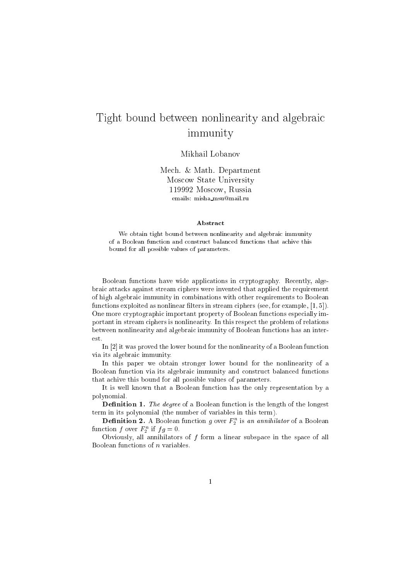## Tight bound between nonlinearity and algebraic and algebraic and algebraic and algebraic and algebraic and algebraic and algebraic and algebraic and algebraic and algebraic and algebraic and algebraic and algebraic and al immunity

Mikhail Lobanov

Me
h. & Math. Department Mos
ow State University <sup>119992</sup> Mos
ow, Russia emails: misha msumail.ru

## **Abstract**

We obtain tight bound between nonlinearity and algebrai immunity bound for all possible values of parameters.

Boolean functions have wide applications in cryptography. Recently, algebrai atta
ks against stream iphers were invented that applied the requirement of high algebrai immunity in ombinations with other requirements to Boolean functions exploited as nonlinear filters in stream ciphers (see, for example,  $[1, 5]$ ). One more cryptographic important property of Boolean functions especially important in stream iphers is nonlinearity. In this respe
t the problem of relations between nonlinearity and algebraic immunity of Boolean functions has an interest.

In  $[2]$  it was proved the lower bound for the nonlinearity of a Boolean function via its algebrai immunity.

In this paper we obtain stronger lower bound for the nonlinearity of a Boolean function via its algebraic immunity and construct balanced functions that a
hive this bound for all possible values of parameters.

It is well known that a Boolean fun
tion has the only representation by a polynomial.

**Definition 1.** The degree of a Boolean function is the length of the longest term in its polynomial (the number of variables in this term).

**Definition 2.** A boolean function g over  $F_2$  is an annihilator of a boolean function *f* over  $F_2$  if  $fg = 0$ .

Obviously, all annihilators of  $f$  form a linear subspace in the space of all Boolean fun
tions of n variables.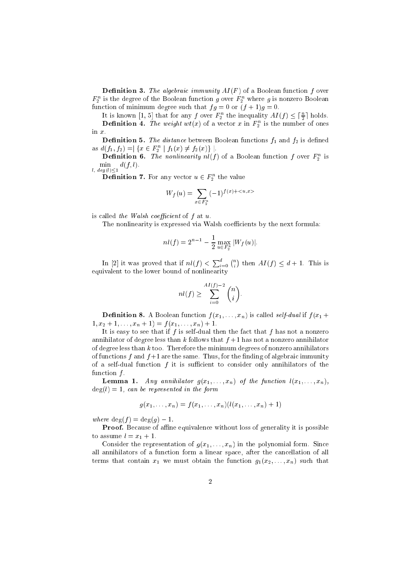**Definition 3.** The algebraic immunity  $AI(F)$  of a Boolean function f over  $r_2$  is the degree of the Boolean function  $g$  over  $r_2$  where  $g$  is nonzero Boolean function of minimum degree such that  $fg = 0$  or  $(f + 1)g = 0$ .

It is known [1, 5] that for any f over  $F_2^*$  the inequality  $AI(J) \leq |\frac{1}{2}|$  holds. **Definition 4.** The weight  $wt(x)$  of a vector x in  $F_2^n$  is the number of ones in x.

**Definition 5.** The distance between Boolean functions  $f_1$  and  $f_2$  is defined as  $a(j_1, j_2) = |x \in F_2 | j_1(x) \neq j_2(x)$ .

**Definition 6.** The nonumearity  $m(j)$  of a Boolean function fover  $F_2$  is l,  $deg(l)$  < 1

**Definition** *i*. For any vector  $u \in F_2$  the value

$$
W_f(u) = \sum_{x \in F_2^n} (-1)^{f(x) + \langle u, x \rangle}
$$

is called the Walsh coefficient of  $f$  at  $u$ .

The nonlinearity is expressed via Walsh coefficients by the next formula:

$$
nl(f) = 2^{n-1} - \frac{1}{2} \max_{u \in F_2^n} |W_f(u)|.
$$

In [2] it was proved that if  $nl(f) < \sum_{i=0}^{d} {n \choose i}$  $\sim$ then  $\mathbf{f}$  ,  $\mathbf{f}$  ,  $\mathbf{f}$  ,  $\mathbf{f}$  ,  $\mathbf{f}$  ,  $\mathbf{f}$  ,  $\mathbf{f}$  ,  $\mathbf{f}$  ,  $\mathbf{f}$  ,  $\mathbf{f}$  ,  $\mathbf{f}$  ,  $\mathbf{f}$  ,  $\mathbf{f}$  ,  $\mathbf{f}$  ,  $\mathbf{f}$  ,  $\mathbf{f}$  ,  $\mathbf{f}$  ,  $\mathbf{f}$  ,  $\mathbf{f}$  ,  $\mathbf{f}$ equivalent to the lower bound of nonlinearity

$$
nl(f) \geq \sum_{i=0}^{AI(f)-2} \binom{n}{i}
$$

**Definition 8.** A Boolean function  $f(x_1, \ldots, x_n)$  is called self-dual if  $f(x_1 +$  $1, x_2 + 1, \ldots, x_n + 1) = f(x_1, \ldots, x_n) + 1.$ 

It is easy to see that if  $f$  is self-dual then the fact that  $f$  has not a nonzero annihilator of degree less than k follows that  $f + 1$  has not a nonzero annihilator of degree less than  $k$  too. Therefore the minimum degrees of nonzero annihilators of functions  $f$  and  $f+1$  are the same. Thus, for the finding of algebraic immunity of a self-dual function  $f$  it is sufficient to consider only annihilators of the function  $f$ .

**Lemma 1.** Any annihilator  $g(x_1, \ldots, x_n)$  of the function  $l(x_1, \ldots, x_n)$ ,  $deg(l) = 1$ , can be represented in the form

$$
g(x_1, \ldots, x_n) = f(x_1, \ldots, x_n) (l(x_1, \ldots, x_n) + 1)
$$

where  $\deg(f) = \deg(g) - 1$ .

**Proof.** Because of affine equivalence without loss of generality it is possible to assume  $l = x_1 + 1$ .

Consider the representation of  $g(x_1, \ldots, x_n)$  in the polynomial form. Since all annihilators of a function form a linear space, after the cancellation of all terms that contain  $x_1$  we must obtain the function  $g_1(x_2,...,x_n)$  such that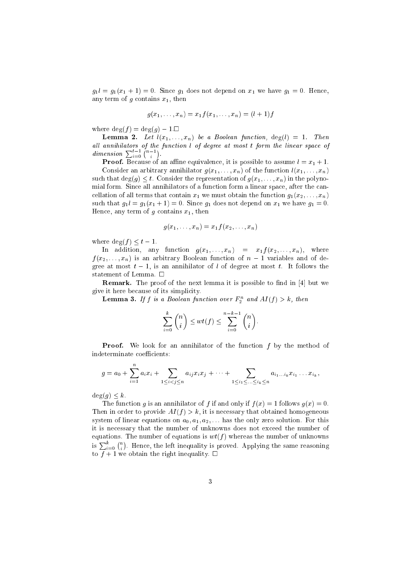$g_1 l = g_1(x_1 + 1) = 0$ . Since  $g_1$  does not depend on  $x_1$  we have  $g_1 = 0$ . Hence, any term of  $g$  contains  $x_1$ , then

$$
g(x_1, \ldots, x_n) = x_1 f(x_1, \ldots, x_n) = (l+1)f
$$

where  $\deg(f) = \deg(g) - 1$ .

**Lemma 2.** Let  $l(x_1, \ldots, x_n)$  be a Boolean function,  $deg(l) = 1$ . Then dimension  $\sum_{i=0}^{t-1} \binom{n-1}{i}$ .  $\sim$ 

**Proof.** Because of an affine equivalence, it is possible to assume  $l = x_1 + 1$ . Consider an arbitrary annihilator  $g(x_1, \ldots, x_n)$  of the function  $l(x_1, \ldots, x_n)$ such that  $deg(g) < t$ . Consider the representation of  $g(x_1, \ldots, x_n)$  in the polynomial form. Since all annihilators of a function form a linear space, after the cancellation of all terms that contain  $x_1$  we must obtain the function  $g_1(x_2,\ldots,x_n)$ such that  $g_1 l = g_1(x_1 + 1) = 0$ . Since  $g_1$  does not depend on  $x_1$  we have  $g_1 = 0$ . Hence, any term of  $g$  contains  $x_1$ , then

$$
g(x_1,\ldots,x_n)=x_1f(x_2,\ldots,x_n)
$$

where  $\deg(f) < t - 1$ .

In addition, any function  $g(x_1, \ldots, x_n) = x_1 f(x_2, \ldots, x_n)$ , where  $f(x_2,...,x_n)$  is an arbitrary Boolean function of  $n-1$  variables and of degree at most  $t-1$ , is an annihilator of l of degree at most t. It follows the statement of Lemma.  $\Box$ 

Remark. The proof of the next lemma it is possible to find in [4] but we give it here be
ause of its simpli
ity.

**Lemma 5.** If f is a Boolean function over  $F_2$  and  $AI(j) > k$ , then

$$
\sum_{i=0}^{k} \binom{n}{i} \le wt(f) \le \sum_{i=0}^{n-k-1} \binom{n}{i}.
$$

**Proof.** We look for an annihilator of the function  $f$  by the method of indeterminate coefficients:

$$
g = a_0 + \sum_{i=1}^n a_i x_i + \sum_{1 \leq i < j \leq n} a_{ij} x_i x_j + \dots + \sum_{1 \leq i_1 \leq \dots \leq i_k \leq n} a_{i_1 \dots i_k} x_{i_1} \dots x_{i_k},
$$

 $deg(g) \leq k$ .

The function q is an annihilator of f if and only if  $f(x) = 1$  follows  $g(x) = 0$ . Then in order to provide  $AI(f) > k$ , it is necessary that obtained homogeneous system of linear equations on  $a_0, a_1, a_2, \ldots$  has the only zero solution. For this it is ne
essary that the number of unknowns does not ex
eed the number of equations. The number of equations is  $wt(f)$  whereas the number of unknowns is  $\sum_{i=0}^{\kappa} \binom{n}{i}$ . Hen
e, the left inequality is proved. Applying the same reasoning to  $f + 1$  we obtain the right inequality.  $\Box$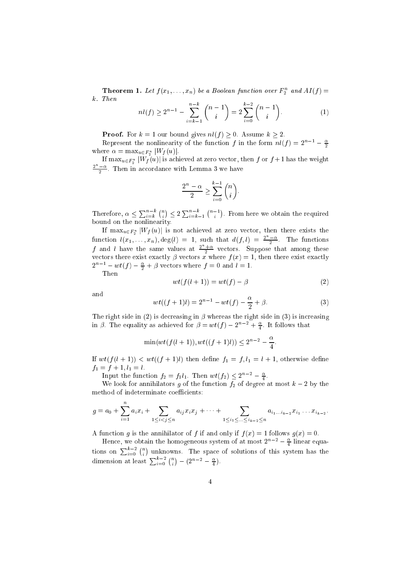**Theorem 1.** Let  $f(x_1, \ldots, x_n)$  be a Boolean function over  $F_2$  and  $A1(f)$ k. Then

$$
nl(f) \ge 2^{n-1} - \sum_{i=k-1}^{n-k} \binom{n-1}{i} = 2 \sum_{i=0}^{k-2} \binom{n-1}{i}.
$$
 (1)

**Proof.** For  $k = 1$  our bound gives  $nl(f) \geq 0$ . Assume  $k \geq 2$ .

Represent the nonlinearity of the function f in the form  $m(j) = 2^{n-2} - \frac{1}{2}$ where  $\alpha$  integrating  $\mathbf{r}_i$  is  $\mathbf{w}_j$ .

If  $\max_{u \in F_n} |W_f(u)|$  is achieved at zero vector, then f or  $f + 1$  has the weight  $\frac{2^{n}-\alpha}{2}$ . Then in accordance with Lemma 3 we have

$$
\frac{2^n - \alpha}{2} \ge \sum_{i=0}^{k-1} \binom{n}{i}.
$$

Therefore,  $\alpha \leq \sum_{i=k}^{n-\kappa}$  $\binom{n}{i}$  $\sim$  $\leq 2\sum_{i=k-1}^{n-\kappa}$  $\binom{n-1}{i}$ . . . From here we obtain the required  $\sim$ bound on the nonlinearity.

If  $\max_{u \in F_{\sigma}^{n}} |W_{f}(u)|$  is not achieved at zero vector, then there exists the function  $l(x_1, \ldots, x_n)$ , deg(l) = 1, such that  $d(f, l) = \frac{2^n - \alpha}{2}$ . The functions f and l have the same values at  $\frac{2^n + \alpha}{2}$  vectors. Suppose that among these there exist example the tors x where exists examine the structure of the structure exist examine the structure  $2^{n-1} - w\iota(f) - \frac{1}{2} + \rho$  vectors where  $f = 0$  and  $i = 1$ .

Then

$$
wt(f(l+1)) = wt(f) - \beta \tag{2}
$$

and

 $\overline{\phantom{a}}$ 

$$
wt((f+1)l) = 2^{n-1} - wt(f) - \frac{\alpha}{2} + \beta.
$$
 (3)

The right side in (2) is decreasing in  $\beta$  whereas the right side in (3) is increasing in p. The equality as a fieved for  $p = w(t) - 2^w + \frac{1}{2}$ . It follows that

$$
\min(wt(f(l+1)), wt((f+1)l)) \le 2^{n-2} - \frac{\alpha}{4}
$$

If  $wt(f(l + 1)) < wt((f + 1)l)$  then define  $f_1 = f, l_1 = l + 1$ , otherwise define  $f_1 = f + 1, l_1 = l.$ 

Input the function  $f_2 = f_1 i_1$ . Then  $w(i)_{2} \leq 2^{n-2} = \frac{1}{4}$ .

where  $\mathcal{U}$  of the function function function function function function  $\mathcal{U}$ method of indeterminate coefficients:

$$
g = a_0 + \sum_{i=1}^n a_i x_i + \sum_{1 \leq i < j \leq n} a_{ij} x_i x_j + \dots + \sum_{1 \leq i_1 \leq \dots \leq i_{k-2} \leq n} a_{i_1 \dots i_{k-2}} x_{i_1} \dots x_{i_{k-2}}.
$$

A function g is the annihilator of f if and only if  $f(x) = 1$  follows  $g(x) = 0$ .

Hence, we obtain the homogeneous system of at most  $2^{n-2} = \frac{n}{4}$  infear equations on  $\sum_{i=0}^{k-2} \binom{n}{i}$  unknowns. The space of solutions of this sys unders and space of solutions of the system of the system of the system of the system of the system of the system of the system of the system of the system of the system of the system of the system of the system of the sys dimension at least  $\sum_{i=0}^{k-2} {n \choose i}$  $= (2^{n-1} - \frac{1}{4}).$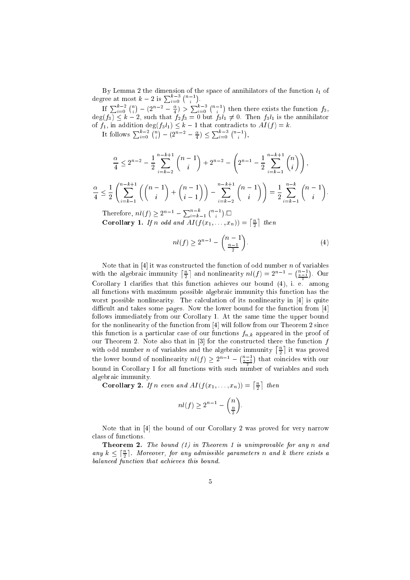degree at most  $k-2$  is  $\sum_{i=0}^{k-3} \binom{n-1}{i}$ . . .

If  $\sum_{i=0}^{k-2} {n \choose i} - (2^{n-2} - \frac{\alpha}{4}) > \sum_{i=0}^{k}$  $\sim$  $- (2^{n-2} - \frac{\alpha}{4}) > \sum_{i=0}^{k-3} {n-1 \choose i}$  $\sim$ the there exists the function  $f$  ,  $f$ degrade het in the father facts fall is the fact of the annihilator facts the annihilator of the annihilator f  $\sim$  $\sim$ 

It follows  $\sum_{i=0}^{k-2} {n \choose i} - (2^{n-2} - \frac{\alpha}{4}) \le \sum_{i=0}^{k-3} {n-1 \choose i},$  $- (2^{n-2} - \frac{\alpha}{4}) \leq \sum_{i=0}^{k-3} {n-1 \choose i}$ 

$$
\frac{\alpha}{4} \le 2^{n-2} - \frac{1}{2} \sum_{i=k-2}^{n-k+1} {n-1 \choose i} + 2^{n-2} - \left(2^{n-1} - \frac{1}{2} \sum_{i=k-1}^{n-k+1} {n \choose i} \right),
$$

 $\frac{-}{4} \leq \frac{-}{2}$  $\int_{0}^{n-k+1} f(n-1)$ i=k1  $\sim$   $\sim$ +  $(n-1)$ i 1 . . .  $\sum_{n=1}^{n-n+1} (n-1)$ i=k2  $\Delta$  $=$  $=$  $\sum_{n=1}^{n=n}$   $(n-1)$ i=k1 

Therefore,  $nl(f) \geq 2^{n-1} - \sum_{i=k-1}^{n-k}$  $(n-1)$ Corollary 1. If  $\alpha$  is a second and  $\alpha$  (f  $\alpha$ ) in  $\alpha$  $\lceil \frac{n}{2} \rceil$ −.

$$
nl(f) \ge 2^{n-1} - \binom{n-1}{\frac{n-1}{2}}.
$$
\n(4)

Note that in  $[4]$  it was constructed the function of odd number n of variables  $\cdots$  immunity the algebraic distribution  $\cdots$  $\lceil \frac{n}{2} \rceil$ and nonlinearity  $nl(f) = 2^{n-1} - \binom{n-1}{n-1}$  $-$ Corollary 1 laries that this fun
tion a
hieves our bound (4), i. e. among all functions with maximum possible algebraic immunity this function has the worst possible nonlinearity. The calculation of its nonlinearity in  $[4]$  is quite difficult and takes some pages. Now the lower bound for the function from [4] follows immediately from our Corollary 1. At the same time the upper bound for the nonlinearity of the function from  $[4]$  will follow from our Theorem 2 since this function is a particular case of our functions  $f_{n,k}$  appeared in the proof of our Theorem 2. Note also that in  $\begin{bmatrix} 3 \end{bmatrix}$  for the constructed there the function f with odd number n of variables and the algebrai immunity  $\lceil n \rceil$ the lower bound of nonlinearity  $nl(f) \geq 2^{n-1} - \binom{n-1}{n-1}$  that conit was proved . . bound in Corollary 1 for all fun
tions with su
h number of variables and su
h algebrai immunity.

 $\mathcal{C}$  is a corollary 2. If  $\mathcal{C}$  is a corollary  $\mathcal{C}$  is a corollary  $\mathcal{C}$  is a corollary  $\mathcal{C}$  is a corollary  $\mathcal{C}$  is a corollary  $\mathcal{C}$  is a corollary  $\mathcal{C}$  is a corollary  $\mathcal{C}$  is a corollary  $\lceil n \rceil$ 

$$
nl(f) \ge 2^{n-1} - \binom{n}{\frac{n}{2}}.
$$

Note that in  $[4]$  the bound of our Corollary 2 was proved for very narrow class of functions.

**Theorem 2.** The bound  $(1)$  in Theorem 1 is unimprovable for any n and any  $\kappa \leq |\tau|$ . Moreover, for any aamissible parameters n and  $\kappa$  there exists a balan
ed fun
tion that a
hieves this bound.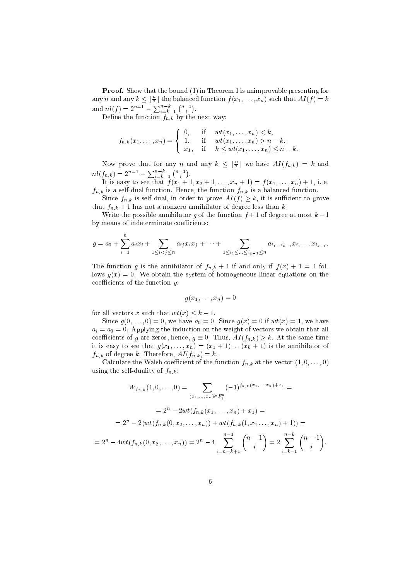Proof. Show that the bound (1) in Theorem 1 is unimprovable presenting for any n and any  $\kappa \leq |\frac{\pi}{2}|$  the balanced function  $f(x_1, \ldots, x_n)$  such that  $AI(f) = \kappa$ and  $nl(f) = 2^{n-1} - \sum_{i=k-1}^{n-k}$  $\binom{n-1}{i}$ . .

Define the function  $f_{n,k}$  by the next way:

$$
f_{n,k}(x_1,...,x_n) = \begin{cases} 0, & \text{if } wt(x_1,...,x_n) < k, \\ 1, & \text{if } wt(x_1,...,x_n) > n - k, \\ x_1, & \text{if } k \le wt(x_1,...,x_n) \le n - k. \end{cases}
$$

Now prove that for any *n* and any  $\kappa \leq |\frac{1}{2}|$  we have  $AI(j_{n,k}) = \kappa$  and  $nl(f_{n,k}) = 2^{n-1} - \sum_{i=k-1}^{n-k} {n-1 \choose i}$ .  $(n-1)$ . .

It is easy to see that f (x1  $\mu$  + 1)  $\mu$  is the f (x1  $\mu$  iii)  $\mu$  in the f (x1  $\mu$  )  $\mu$  $f_{n,k}$  is a self-dual function. Hence, the function  $f_{n,k}$  is a balanced function.

Since  $f_{n,k}$  is self-dual, in order to prove  $AI(f) \geq k$ , it is sufficient to prove that  $f_{n,k} + 1$  has not a nonzero annihilator of degree less than k.

Write the possible annihilator g of the function  $f+1$  of degree at most  $k-1$ by means of indeterminate coefficients:

$$
g = a_0 + \sum_{i=1}^n a_i x_i + \sum_{1 \leq i < j \leq n} a_{ij} x_i x_j + \dots + \sum_{1 \leq i_1 \leq \dots \leq i_{k-1} \leq n} a_{i_1 \dots i_{k-1}} x_{i_1 \dots x_{i_{k-1}}}
$$

The function g is the annihilator of  $f_{n,k} + 1$  if and only if  $f(x) + 1 = 1$  follows  $g(x) = 0$ . We obtain the system of homogeneous linear equations on the coefficients of the function  $g$ :

$$
g(x_1,\ldots,x_n)=0
$$

for all vectors x such that  $wt(x) \leq k - 1$ .

Since  $g(0,\ldots,0)=0$ , we have  $a_0=0$ . Since  $g(x)=0$  if  $wt(x)=1$ , we have  $a_i = a_0 = 0$ . Applying the induction on the weight of vectors we obtain that all coefficients of g are zeros, hence,  $g \equiv 0$ . Thus,  $AI(f_{n,k}) \geq k$ . At the same time it is easy to see that  $g(x_1, \ldots, x_n) = (x_1 + 1) \ldots (x_k + 1)$  is the annihilator of  $f_{n,k}$  of degree k. Therefore,  $AI(f_{n,k}) = k$ .

Calculate the Walsh coefficient of the function  $f_{n,k}$  at the vector  $(1,0,\ldots,0)$ using the self-duality of  $f_{n,k}$ :

$$
W_{f_{n,k}}(1,0,\ldots,0) = \sum_{(x_1,\ldots,x_n)\in F_2^n} (-1)^{f_{n,k}(x_1,\ldots,x_n)+x_1} =
$$
  

$$
= 2^n - 2wt(f_{n,k}(x_1,\ldots,x_n) + x_1) =
$$
  

$$
= 2^n - 2(wt(f_{n,k}(0,x_2,\ldots,x_n)) + wt(f_{n,k}(1,x_2\ldots,x_n) + 1)) =
$$
  

$$
= 2^n - 4wt(f_{n,k}(0,x_2,\ldots,x_n)) = 2^n - 4\sum_{i=n-k+1}^{n-1} {n-1 \choose i} = 2\sum_{i=k-1}^{n-k} {n-1 \choose i}
$$